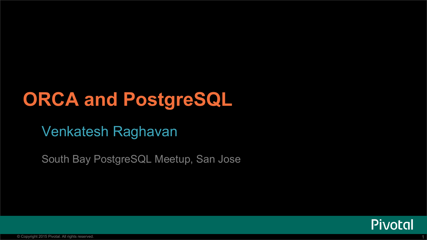# **ORCA and PostgreSQL**

### Venkatesh Raghavan

South Bay PostgreSQL Meetup, San Jose

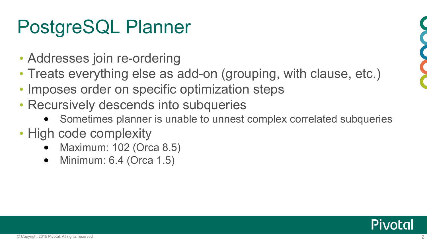# PostgreSQL Planner

- Addresses join re-ordering
- Treats everything else as add-on (grouping, with clause, etc.)
- Imposes order on specific optimization steps
- Recursively descends into subqueries
	- Sometimes planner is unable to unnest complex correlated subqueries
- High code complexity
	- Maximum: 102 (Orca 8.5)
	- Minimum: 6.4 (Orca 1.5)



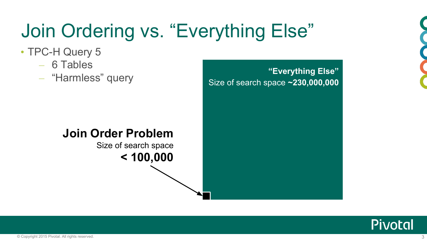

# Join Ordering vs. "Everything Else"

Size of search space **~230,000,000**

- TPC-H Query 5
	- 6 Tables
	- "Harmless" query **"Everything Else"**

#### **Join Order Problem**

Size of search space **< 100,000**

**Pivotal**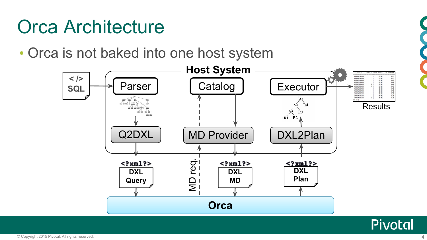# Orca Architecture

• Orca is not baked into one host system



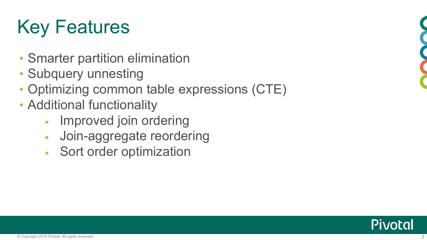# Key Features

- Smarter partition elimination
- Subquery unnesting
- Optimizing common table expressions (CTE)
- Additional functionality
	- Improved join ordering
	- Join-aggregate reordering
	- Sort order optimization



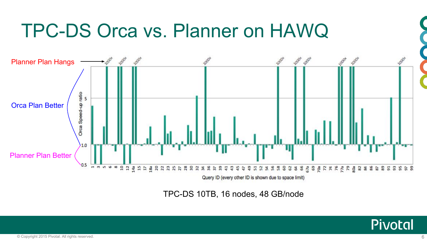

TPC-DS 10TB, 16 nodes, 48 GB/node

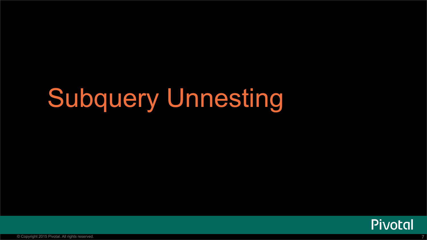# Subquery Unnesting

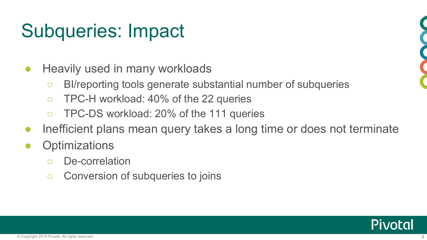# Subqueries: Impact

- Heavily used in many workloads
	- BI/reporting tools generate substantial number of subqueries
	- TPC-H workload: 40% of the 22 queries
	- TPC-DS workload: 20% of the 111 queries
- Inefficient plans mean query takes a long time or does not terminate
- **Optimizations** 
	- De-correlation
	- Conversion of subqueries to joins



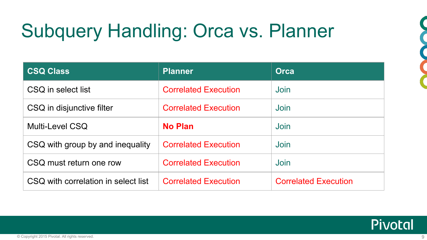# Subquery Handling: Orca vs. Planner

| <b>CSQ Class</b>                    | <b>Planner</b>              | <b>Orca</b>                 |
|-------------------------------------|-----------------------------|-----------------------------|
| CSQ in select list                  | <b>Correlated Execution</b> | Join                        |
| CSQ in disjunctive filter           | <b>Correlated Execution</b> | Join                        |
| Multi-Level CSQ                     | <b>No Plan</b>              | Join                        |
| CSQ with group by and inequality    | <b>Correlated Execution</b> | Join                        |
| CSQ must return one row             | <b>Correlated Execution</b> | Join                        |
| CSQ with correlation in select list | <b>Correlated Execution</b> | <b>Correlated Execution</b> |

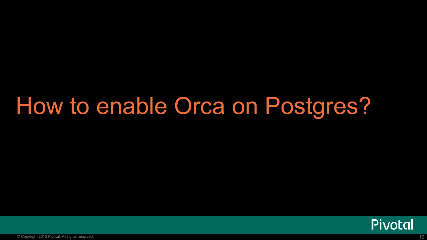# How to enable Orca on Postgres?

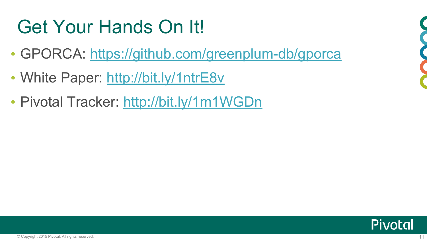# Get Your Hands On It!

- GPORCA: <https://github.com/greenplum-db/gporca>
- White Paper: <http://bit.ly/1ntrE8v>
- Pivotal Tracker: <http://bit.ly/1m1WGDn>



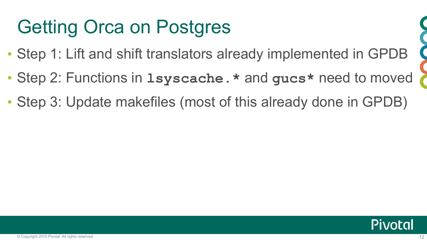# Getting Orca on Postgres

- Step 1: Lift and shift translators already implemented in GPDB
- Step 2: Functions in **lsyscache.\*** and **gucs\*** need to moved
- Step 3: Update makefiles (most of this already done in GPDB)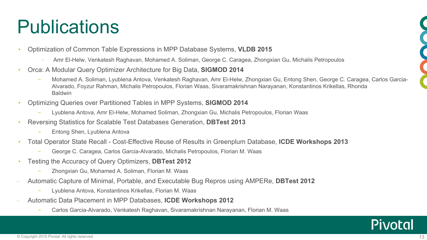# **Publications**

- Optimization of Common Table Expressions in MPP Database Systems, **VLDB 2015** 
	- Amr El-Helw, Venkatesh Raghavan, Mohamed A. Soliman, George C. Caragea, Zhongxian Gu, Michalis Petropoulos
- Orca: A Modular Query Optimizer Architecture for Big Data, **SIGMOD 2014**
	- Mohamed A. Soliman, Lyublena Antova, Venkatesh Raghavan, Amr El-Helw, Zhongxian Gu, Entong Shen, George C. Caragea, Carlos Garcia-Alvarado, Foyzur Rahman, Michalis Petropoulos, Florian Waas, Sivaramakrishnan Narayanan, Konstantinos Krikellas, Rhonda **Baldwin**
- Optimizing Queries over Partitioned Tables in MPP Systems, **SIGMOD 2014**
	- Lyublena Antova, Amr El-Helw, Mohamed Soliman, Zhongxian Gu, Michalis Petropoulos, Florian Waas
- Reversing Statistics for Scalable Test Databases Generation, **DBTest 2013**
	- Entong Shen, Lyublena Antova
- Total Operator State Recall Cost-Effective Reuse of Results in Greenplum Database, **ICDE Workshops 2013**
	- George C. Caragea, Carlos Garcia-Alvarado, Michalis Petropoulos, Florian M. Waas
- Testing the Accuracy of Query Optimizers, **DBTest 2012**
	- Zhongxian Gu, Mohamed A. Soliman, Florian M. Waas
- Automatic Capture of Minimal, Portable, and Executable Bug Repros using AMPERe, **DBTest 2012**
	- Lyublena Antova, Konstantinos Krikellas, Florian M. Waas
- Automatic Data Placement in MPP Databases, **ICDE Workshops 2012**
	- Carlos Garcia-Alvarado, Venkatesh Raghavan, Sivaramakrishnan Narayanan, Florian M. Waas



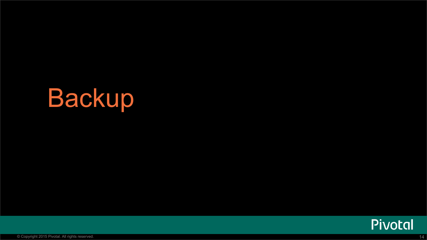# Backup

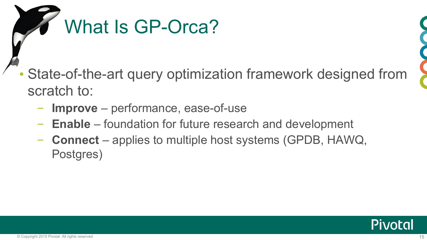

State-of-the-art query optimization framework designed from scratch to:

- **Improve** performance, ease-of-use
- **Enable** foundation for future research and development
- **Connect** applies to multiple host systems (GPDB, HAWQ, Postgres)

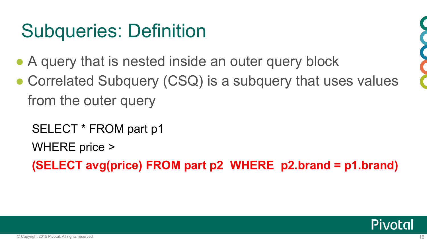# Subqueries: Definition

- A query that is nested inside an outer query block
- Correlated Subquery (CSQ) is a subquery that uses values from the outer query
	- SELECT \* FROM part p1
	- WHERE price >
	- **(SELECT avg(price) FROM part p2 WHERE p2.brand = p1.brand)**



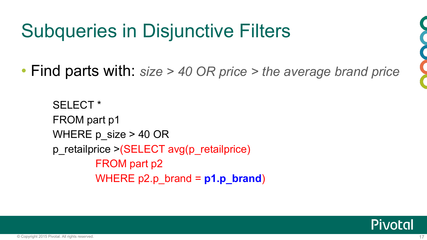# Subqueries in Disjunctive Filters

• Find parts with: *size > 40 OR price > the average brand price*

SELECT \* FROM part p1 WHERE  $p$  size  $> 40$  OR p\_retailprice >(SELECT avg(p\_retailprice) FROM part p2 WHERE p2.p\_brand = **p1.p\_brand**)

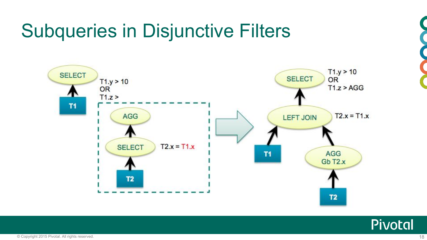# Subqueries in Disjunctive Filters





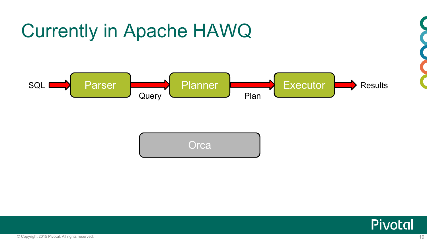



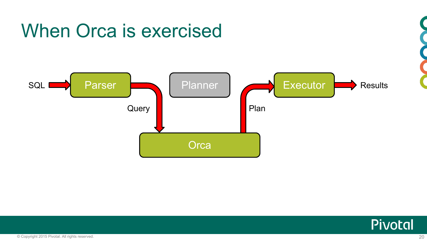